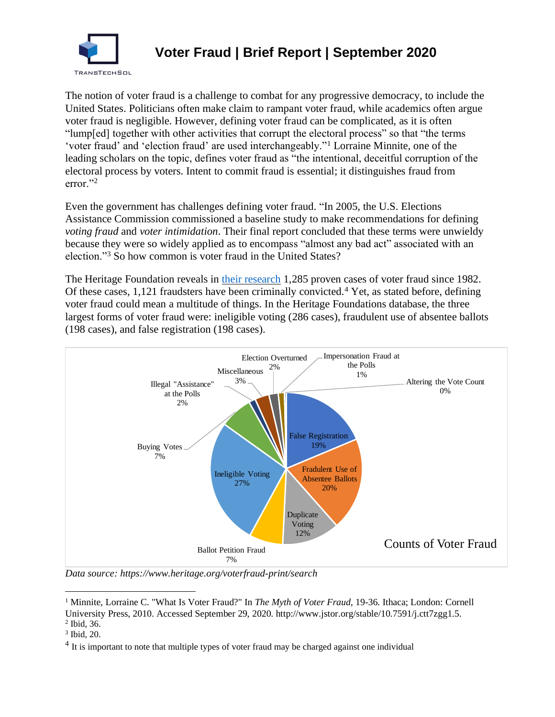

## **Voter Fraud | Brief Report | September 2020**

The notion of voter fraud is a challenge to combat for any progressive democracy, to include the United States. Politicians often make claim to rampant voter fraud, while academics often argue voter fraud is negligible. However, defining voter fraud can be complicated, as it is often "lump[ed] together with other activities that corrupt the electoral process" so that "the terms 'voter fraud' and 'election fraud' are used interchangeably."<sup>1</sup> Lorraine Minnite, one of the leading scholars on the topic, defines voter fraud as "the intentional, deceitful corruption of the electoral process by voters. Intent to commit fraud is essential; it distinguishes fraud from error."<sup>2</sup>

Even the government has challenges defining voter fraud. "In 2005, the U.S. Elections Assistance Commission commissioned a baseline study to make recommendations for defining *voting fraud* and *voter intimidation*. Their final report concluded that these terms were unwieldy because they were so widely applied as to encompass "almost any bad act" associated with an election."<sup>3</sup> So how common is voter fraud in the United States?

The Heritage Foundation reveals in [their research](https://www.heritage.org/voterfraud) 1,285 proven cases of voter fraud since 1982. Of these cases,  $1,121$  fraudsters have been criminally convicted.<sup>4</sup> Yet, as stated before, defining voter fraud could mean a multitude of things. In the Heritage Foundations database, the three largest forms of voter fraud were: ineligible voting (286 cases), fraudulent use of absentee ballots (198 cases), and false registration (198 cases).



*Data source: https://www.heritage.org/voterfraud-print/search*

<sup>&</sup>lt;sup>1</sup> Minnite, Lorraine C. "What Is Voter Fraud?" In *The Myth of Voter Fraud*, 19-36. Ithaca; London: Cornell University Press, 2010. Accessed September 29, 2020. http://www.jstor.org/stable/10.7591/j.ctt7zgg1.5.

<sup>2</sup> Ibid, 36.

<sup>3</sup> Ibid, 20.

 $4$  It is important to note that multiple types of voter fraud may be charged against one individual